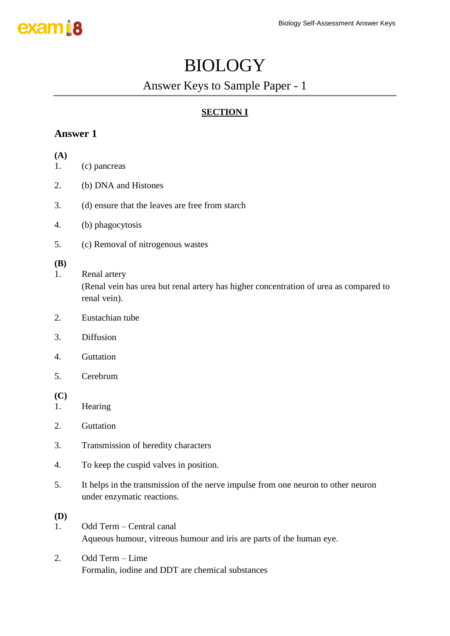## BIOLOGY

## Answer Keys to Sample Paper - 1

## **SECTION I**

## **Answer 1**

| (A)<br>1.        | (c) pancreas                                                                                                          |
|------------------|-----------------------------------------------------------------------------------------------------------------------|
| 2.               | (b) DNA and Histones                                                                                                  |
| 3.               | (d) ensure that the leaves are free from starch                                                                       |
| 4.               | (b) phagocytosis                                                                                                      |
| 5.               | (c) Removal of nitrogenous wastes                                                                                     |
| <b>(B)</b><br>1. | Renal artery<br>(Renal vein has urea but renal artery has higher concentration of urea as compared to<br>renal vein). |
| 2.               | Eustachian tube                                                                                                       |
| 3.               | Diffusion                                                                                                             |
| 4.               | Guttation                                                                                                             |
| 5.               | Cerebrum                                                                                                              |
| (C)<br>1.        | Hearing                                                                                                               |
| 2.               | Guttation                                                                                                             |
| 3.               | Transmission of heredity characters                                                                                   |
| 4.               | To keep the cuspid valves in position.                                                                                |
| 5.               | It helps in the transmission of the nerve impulse from one neuron to other neuron<br>under enzymatic reactions.       |
| <b>(D)</b><br>1. | Odd Term - Central canal<br>Aqueous humour, vitreous humour and iris are parts of the human eye.                      |

2. Odd Term – Lime Formalin, iodine and DDT are chemical substances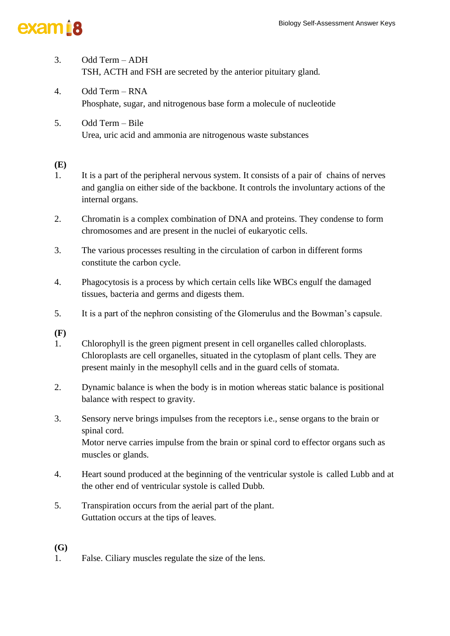

- 3. Odd Term ADH TSH, ACTH and FSH are secreted by the anterior pituitary gland.
- 4. Odd Term RNA Phosphate, sugar, and nitrogenous base form a molecule of nucleotide
- 5. Odd Term Bile Urea, uric acid and ammonia are nitrogenous waste substances

### **(E)**

- 1. It is a part of the peripheral nervous system. It consists of a pair of chains of nerves and ganglia on either side of the backbone. It controls the involuntary actions of the internal organs.
- 2. Chromatin is a complex combination of DNA and proteins. They condense to form chromosomes and are present in the nuclei of eukaryotic cells.
- 3. The various processes resulting in the circulation of carbon in different forms constitute the carbon cycle.
- 4. Phagocytosis is a process by which certain cells like WBCs engulf the damaged tissues, bacteria and germs and digests them.
- 5. It is a part of the nephron consisting of the Glomerulus and the Bowman's capsule.
- **(F)**
- 1. Chlorophyll is the green pigment present in cell organelles called chloroplasts. Chloroplasts are cell organelles, situated in the cytoplasm of plant cells. They are present mainly in the mesophyll cells and in the guard cells of stomata.
- 2. Dynamic balance is when the body is in motion whereas static balance is positional balance with respect to gravity.
- 3. Sensory nerve brings impulses from the receptors i.e., sense organs to the brain or spinal cord. Motor nerve carries impulse from the brain or spinal cord to effector organs such as muscles or glands.
- 4. Heart sound produced at the beginning of the ventricular systole is called Lubb and at the other end of ventricular systole is called Dubb.
- 5. Transpiration occurs from the aerial part of the plant. Guttation occurs at the tips of leaves.

### **(G)**

1. False. Ciliary muscles regulate the size of the lens.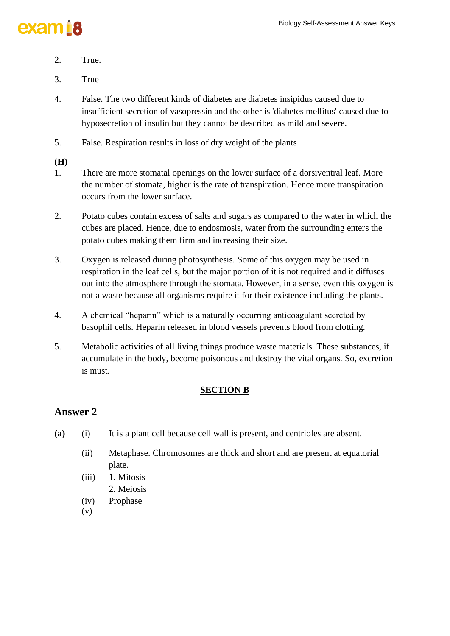## exam<sub>18</sub>

- 2. True.
- 3. True
- 4. False. The two different kinds of diabetes are diabetes insipidus caused due to insufficient secretion of vasopressin and the other is 'diabetes mellitus' caused due to hyposecretion of insulin but they cannot be described as mild and severe.
- 5. False. Respiration results in loss of dry weight of the plants

### **(H)**

- 1. There are more stomatal openings on the lower surface of a dorsiventral leaf. More the number of stomata, higher is the rate of transpiration. Hence more transpiration occurs from the lower surface.
- 2. Potato cubes contain excess of salts and sugars as compared to the water in which the cubes are placed. Hence, due to endosmosis, water from the surrounding enters the potato cubes making them firm and increasing their size.
- 3. Oxygen is released during photosynthesis. Some of this oxygen may be used in respiration in the leaf cells, but the major portion of it is not required and it diffuses out into the atmosphere through the stomata. However, in a sense, even this oxygen is not a waste because all organisms require it for their existence including the plants.
- 4. A chemical "heparin" which is a naturally occurring anticoagulant secreted by basophil cells. Heparin released in blood vessels prevents blood from clotting.
- 5. Metabolic activities of all living things produce waste materials. These substances, if accumulate in the body, become poisonous and destroy the vital organs. So, excretion is must.

### **SECTION B**

- **(a)** (i) It is a plant cell because cell wall is present, and centrioles are absent.
	- (ii) Metaphase. Chromosomes are thick and short and are present at equatorial plate.
	- (iii) 1. Mitosis 2. Meiosis
	- (iv) Prophase
	- (v)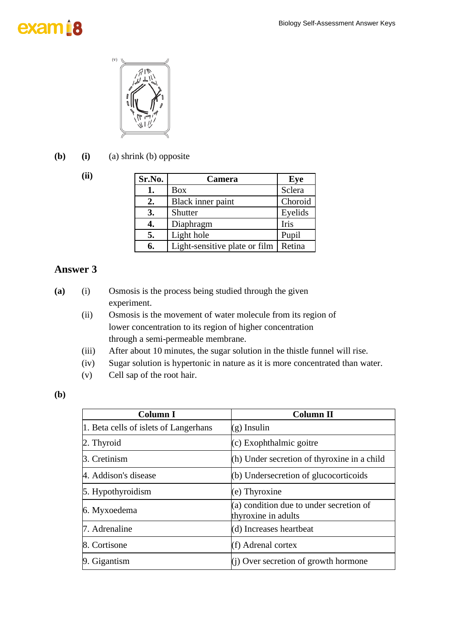# exam<sup>i8</sup>



**(b) (i)** (a) shrink (b) opposite

**(ii)**

| Sr.No. | <b>Camera</b>                 | Eye     |
|--------|-------------------------------|---------|
|        | Box                           | Sclera  |
| 2.     | Black inner paint             | Choroid |
| 3.     | Shutter                       | Eyelids |
| 4.     | Diaphragm                     | Iris    |
| 5.     | Light hole                    | Pupil   |
| 6.     | Light-sensitive plate or film | Retina  |

### **Answer 3**

| (a) |      | Osmosis is the process being studied through the given       |
|-----|------|--------------------------------------------------------------|
|     |      | experiment.                                                  |
|     | (11) | Osmosis is the movement of water molecule from its region of |
|     |      | lower concentration to its region of higher concentration    |
|     |      | through a semi-permeable membrane.                           |

- (iii) After about 10 minutes, the sugar solution in the thistle funnel will rise.
- (iv) Sugar solution is hypertonic in nature as it is more concentrated than water.
- (v) Cell sap of the root hair.

**(b)**

| <b>Column I</b>                       | <b>Column II</b>                                               |
|---------------------------------------|----------------------------------------------------------------|
| 1. Beta cells of islets of Langerhans | $(g)$ Insulin                                                  |
| 2. Thyroid                            | (c) Exophthalmic goitre                                        |
| 3. Cretinism                          | (h) Under secretion of thyroxine in a child                    |
| 4. Addison's disease                  | (b) Undersecretion of glucocorticoids                          |
| 5. Hypothyroidism                     | (e) Thyroxine                                                  |
| 6. Myxoedema                          | (a) condition due to under secretion of<br>thyroxine in adults |
| 7. Adrenaline                         | (d) Increases heartbeat                                        |
| 8. Cortisone                          | (f) Adrenal cortex                                             |
| 9. Gigantism                          | $(i)$ Over secretion of growth hormone                         |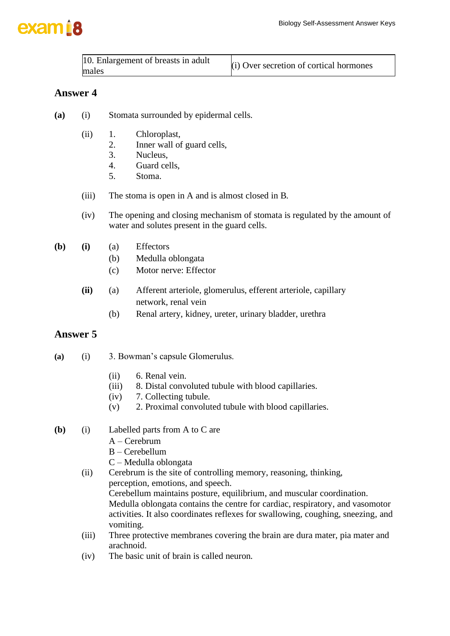

| 10. Enlargement of breasts in adult<br>males | $(i)$ Over secretion of cortical hormones |
|----------------------------------------------|-------------------------------------------|
|----------------------------------------------|-------------------------------------------|

### **Answer 4**

- **(a)** (i) Stomata surrounded by epidermal cells.
	- (ii) 1. Chloroplast,
		- 2. Inner wall of guard cells,
		- 3. Nucleus,
		- 4. Guard cells,
		- 5. Stoma.
	- (iii) The stoma is open in A and is almost closed in B.
	- (iv) The opening and closing mechanism of stomata is regulated by the amount of water and solutes present in the guard cells.
- **(b) (i)** (a) Effectors
	- (b) Medulla oblongata
	- (c) Motor nerve: Effector
	- **(ii)** (a) Afferent arteriole, glomerulus, efferent arteriole, capillary network, renal vein
		- (b) Renal artery, kidney, ureter, urinary bladder, urethra

- **(a)** (i) 3. Bowman's capsule Glomerulus.
	- (ii) 6. Renal vein.
	- (iii) 8. Distal convoluted tubule with blood capillaries.
	- (iv) 7. Collecting tubule.
	- (v) 2. Proximal convoluted tubule with blood capillaries.
- **(b)** (i) Labelled parts from A to C are
	- A Cerebrum
	- B Cerebellum
	- C Medulla oblongata
	- (ii) Cerebrum is the site of controlling memory, reasoning, thinking, perception, emotions, and speech. Cerebellum maintains posture, equilibrium, and muscular coordination. Medulla oblongata contains the centre for cardiac, respiratory, and vasomotor activities. It also coordinates reflexes for swallowing, coughing, sneezing, and vomiting.
	- (iii) Three protective membranes covering the brain are dura mater, pia mater and arachnoid.
	- (iv) The basic unit of brain is called neuron.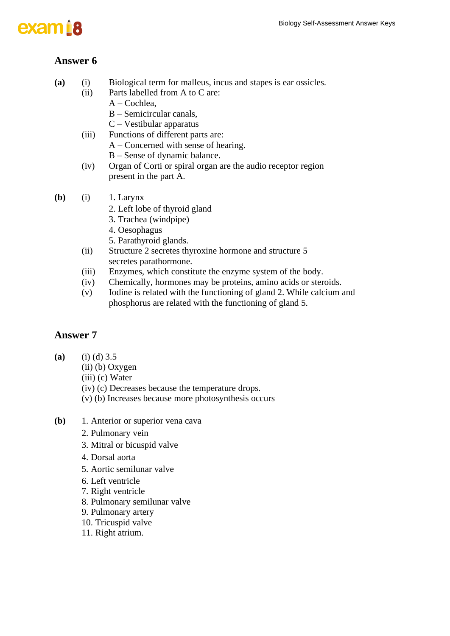

### **Answer 6**

- **(a)** (i) Biological term for malleus, incus and stapes is ear ossicles.
	- (ii) Parts labelled from A to C are:
		- A Cochlea,
		- B Semicircular canals,
		- C Vestibular apparatus
	- (iii) Functions of different parts are:
		- A Concerned with sense of hearing.
		- B Sense of dynamic balance.
	- (iv) Organ of Corti or spiral organ are the audio receptor region present in the part A.
- **(b)** (i) 1. Larynx
	- 2. Left lobe of thyroid gland
	- 3. Trachea (windpipe)
	- 4. Oesophagus
	- 5. Parathyroid glands.
	- (ii) Structure 2 secretes thyroxine hormone and structure 5 secretes parathormone.
	- (iii) Enzymes, which constitute the enzyme system of the body.
	- (iv) Chemically, hormones may be proteins, amino acids or steroids.
	- (v) Iodine is related with the functioning of gland 2. While calcium and phosphorus are related with the functioning of gland 5.

- **(a)** (i) (d) 3.5
	- (ii) (b) Oxygen
	- (iii) (c) Water
	- (iv) (c) Decreases because the temperature drops.
	- (v) (b) Increases because more photosynthesis occurs
- **(b)** 1. Anterior or superior vena cava
	- 2. Pulmonary vein
	- 3. Mitral or bicuspid valve
	- 4. Dorsal aorta
	- 5. Aortic semilunar valve
	- 6. Left ventricle
	- 7. Right ventricle
	- 8. Pulmonary semilunar valve
	- 9. Pulmonary artery
	- 10. Tricuspid valve
	- 11. Right atrium.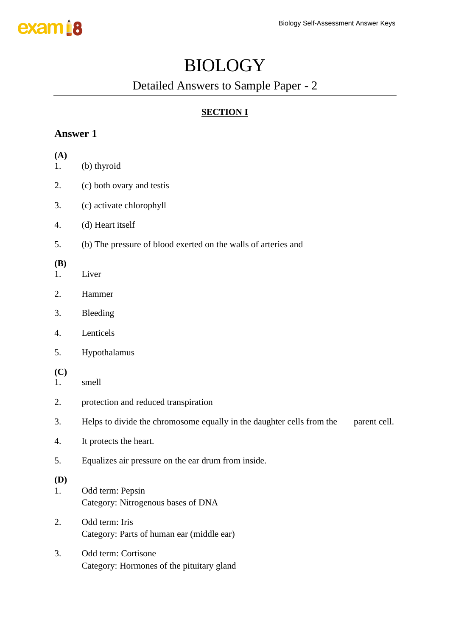## BIOLOGY

## Detailed Answers to Sample Paper - 2

## **SECTION I**

| (A)<br>1.        | (b) thyroid                                                                           |
|------------------|---------------------------------------------------------------------------------------|
| 2.               | (c) both ovary and testis                                                             |
| 3.               | (c) activate chlorophyll                                                              |
| 4.               | (d) Heart itself                                                                      |
| 5.               | (b) The pressure of blood exerted on the walls of arteries and                        |
| <b>(B)</b><br>1. | Liver                                                                                 |
| 2.               | Hammer                                                                                |
| 3.               | Bleeding                                                                              |
| 4.               | Lenticels                                                                             |
| 5.               | Hypothalamus                                                                          |
| (C)<br>1.        | smell                                                                                 |
| 2.               | protection and reduced transpiration                                                  |
| 3.               | Helps to divide the chromosome equally in the daughter cells from the<br>parent cell. |
| 4.               | It protects the heart.                                                                |
| 5.               | Equalizes air pressure on the ear drum from inside.                                   |
| (D)<br>1.        | Odd term: Pepsin<br>Category: Nitrogenous bases of DNA                                |
| 2.               | Odd term: Iris<br>Category: Parts of human ear (middle ear)                           |
| 3.               | Odd term: Cortisone<br>Category: Hormones of the pituitary gland                      |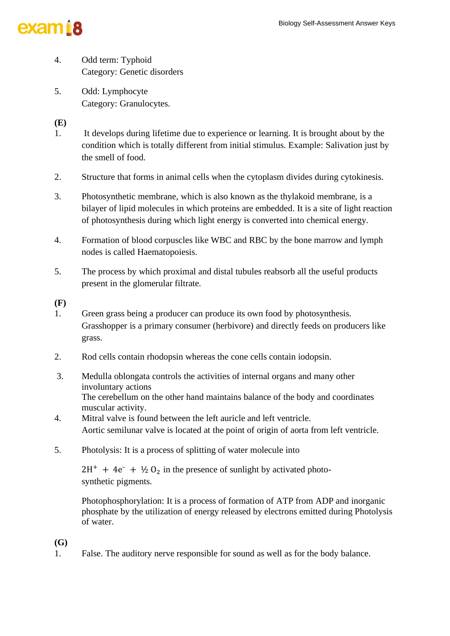

- 4. Odd term: Typhoid Category: Genetic disorders
- 5. Odd: Lymphocyte Category: Granulocytes.

**(E)**

- 1. It develops during lifetime due to experience or learning. It is brought about by the condition which is totally different from initial stimulus. Example: Salivation just by the smell of food.
- 2. Structure that forms in animal cells when the cytoplasm divides during cytokinesis.
- 3. Photosynthetic membrane, which is also known as the thylakoid membrane, is a bilayer of lipid molecules in which proteins are embedded. It is a site of light reaction of photosynthesis during which light energy is converted into chemical energy.
- 4. Formation of blood corpuscles like WBC and RBC by the bone marrow and lymph nodes is called Haematopoiesis.
- 5. The process by which proximal and distal tubules reabsorb all the useful products present in the glomerular filtrate.

**(F)**

- 1. Green grass being a producer can produce its own food by photosynthesis. Grasshopper is a primary consumer (herbivore) and directly feeds on producers like grass.
- 2. Rod cells contain rhodopsin whereas the cone cells contain iodopsin.
- 3. Medulla oblongata controls the activities of internal organs and many other involuntary actions The cerebellum on the other hand maintains balance of the body and coordinates muscular activity.
- 4. Mitral valve is found between the left auricle and left ventricle. Aortic semilunar valve is located at the point of origin of aorta from left ventricle.
- 5. Photolysis: It is a process of splitting of water molecule into

 $2H^+ + 4e^- + 1/2$  O<sub>2</sub> in the presence of sunlight by activated photosynthetic pigments.

Photophosphorylation: It is a process of formation of ATP from ADP and inorganic phosphate by the utilization of energy released by electrons emitted during Photolysis of water.

**(G)**

1. False. The auditory nerve responsible for sound as well as for the body balance.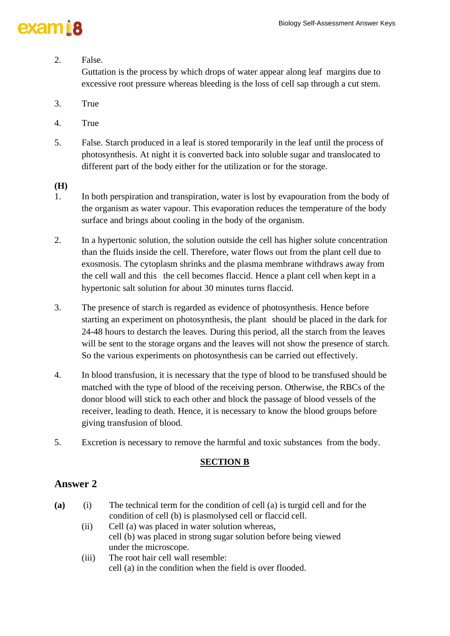## exam i 8

### 2. False.

Guttation is the process by which drops of water appear along leaf margins due to excessive root pressure whereas bleeding is the loss of cell sap through a cut stem.

- 3. True
- 4. True
- 5. False. Starch produced in a leaf is stored temporarily in the leaf until the process of photosynthesis. At night it is converted back into soluble sugar and translocated to different part of the body either for the utilization or for the storage.

### **(H)**

- 1. In both perspiration and transpiration, water is lost by evapouration from the body of the organism as water vapour. This evaporation reduces the temperature of the body surface and brings about cooling in the body of the organism.
- 2. In a hypertonic solution, the solution outside the cell has higher solute concentration than the fluids inside the cell. Therefore, water flows out from the plant cell due to exosmosis. The cytoplasm shrinks and the plasma membrane withdraws away from the cell wall and this the cell becomes flaccid. Hence a plant cell when kept in a hypertonic salt solution for about 30 minutes turns flaccid.
- 3. The presence of starch is regarded as evidence of photosynthesis. Hence before starting an experiment on photosynthesis, the plant should be placed in the dark for 24-48 hours to destarch the leaves. During this period, all the starch from the leaves will be sent to the storage organs and the leaves will not show the presence of starch. So the various experiments on photosynthesis can be carried out effectively.
- 4. In blood transfusion, it is necessary that the type of blood to be transfused should be matched with the type of blood of the receiving person. Otherwise, the RBCs of the donor blood will stick to each other and block the passage of blood vessels of the receiver, leading to death. Hence, it is necessary to know the blood groups before giving transfusion of blood.
- 5. Excretion is necessary to remove the harmful and toxic substances from the body.

### **SECTION B**

- **(a)** (i) The technical term for the condition of cell (a) is turgid cell and for the condition of cell (b) is plasmolysed cell or flaccid cell.
	- (ii) Cell (a) was placed in water solution whereas, cell (b) was placed in strong sugar solution before being viewed under the microscope.
	- (iii) The root hair cell wall resemble: cell (a) in the condition when the field is over flooded.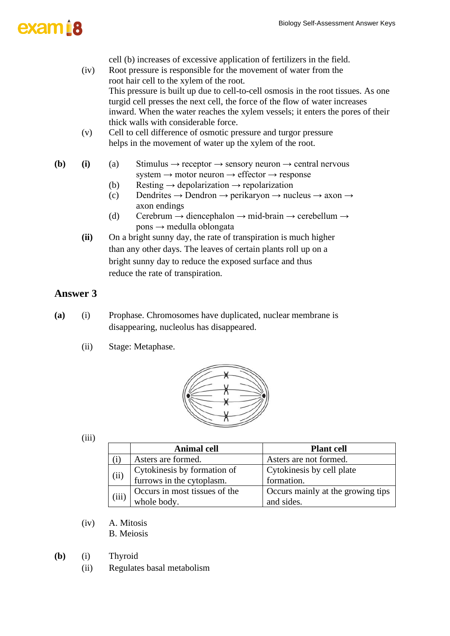

- cell (b) increases of excessive application of fertilizers in the field.
- (iv) Root pressure is responsible for the movement of water from the root hair cell to the xylem of the root. This pressure is built up due to cell-to-cell osmosis in the root tissues. As one turgid cell presses the next cell, the force of the flow of water increases inward. When the water reaches the xylem vessels; it enters the pores of their thick walls with considerable force.
- (v) Cell to cell difference of osmotic pressure and turgor pressure helps in the movement of water up the xylem of the root.
- **(b) (i)** (a) Stimulus  $\rightarrow$  receptor  $\rightarrow$  sensory neuron  $\rightarrow$  central nervous system  $\rightarrow$  motor neuron  $\rightarrow$  effector  $\rightarrow$  response
	- (b) Resting  $\rightarrow$  depolarization  $\rightarrow$  repolarization
	- (c) Dendrites  $\rightarrow$  Dendron  $\rightarrow$  perikaryon  $\rightarrow$  nucleus  $\rightarrow$  axon  $\rightarrow$ axon endings
	- (d) Cerebrum  $\rightarrow$  diencephalon  $\rightarrow$  mid-brain  $\rightarrow$  cerebellum  $\rightarrow$ pons → medulla oblongata
	- **(ii)** On a bright sunny day, the rate of transpiration is much higher than any other days. The leaves of certain plants roll up on a bright sunny day to reduce the exposed surface and thus reduce the rate of transpiration.

### **Answer 3**

- **(a)** (i) Prophase. Chromosomes have duplicated, nuclear membrane is disappearing, nucleolus has disappeared.
	- (ii) Stage: Metaphase.



(iii)

|       | <b>Animal cell</b>            | <b>Plant cell</b>                 |
|-------|-------------------------------|-----------------------------------|
| (i)   | Asters are formed.            | Asters are not formed.            |
| (ii)  | Cytokinesis by formation of   | Cytokinesis by cell plate         |
|       | furrows in the cytoplasm.     | formation.                        |
| (iii) | Occurs in most tissues of the | Occurs mainly at the growing tips |
|       | whole body.                   | and sides.                        |

(iv) A. Mitosis B. Meiosis

- **(b)** (i) Thyroid
	- (ii) Regulates basal metabolism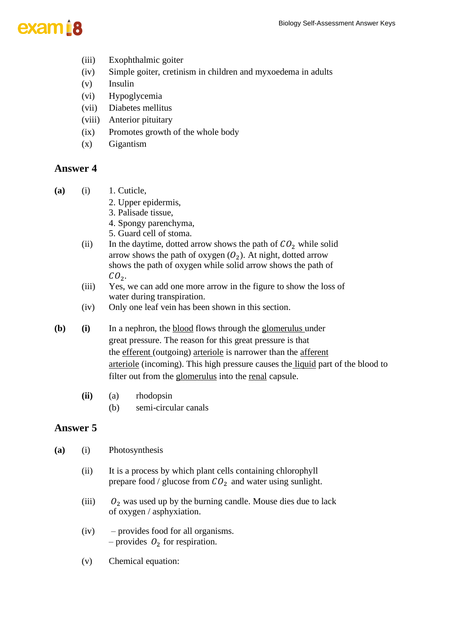

- (iii) Exophthalmic goiter
- (iv) Simple goiter, cretinism in children and myxoedema in adults
- (v) Insulin
- (vi) Hypoglycemia
- (vii) Diabetes mellitus
- (viii) Anterior pituitary
- (ix) Promotes growth of the whole body
- (x) Gigantism

### **Answer 4**

- **(a)** (i) 1. Cuticle,
	- 2. Upper epidermis,
	- 3. Palisade tissue,
	- 4. Spongy parenchyma,
	- 5. Guard cell of stoma.
	- (ii) In the daytime, dotted arrow shows the path of  $CO<sub>2</sub>$  while solid arrow shows the path of oxygen  $(0_2)$ . At night, dotted arrow shows the path of oxygen while solid arrow shows the path of  $CO<sub>2</sub>$ .
	- (iii) Yes, we can add one more arrow in the figure to show the loss of water during transpiration.
	- (iv) Only one leaf vein has been shown in this section.
- **(b) (i)** In a nephron, the blood flows through the glomerulus under great pressure. The reason for this great pressure is that the efferent (outgoing) arteriole is narrower than the afferent arteriole (incoming). This high pressure causes the liquid part of the blood to filter out from the glomerulus into the renal capsule.
	- **(ii)** (a) rhodopsin (b) semi-circular canals

- **(a)** (i) Photosynthesis
	- (ii) It is a process by which plant cells containing chlorophyll prepare food / glucose from  $CO<sub>2</sub>$  and water using sunlight.
	- (iii)  $\theta_2$  was used up by the burning candle. Mouse dies due to lack of oxygen / asphyxiation.
	- (iv) provides food for all organisms. – provides  $O_2$  for respiration.
	- (v) Chemical equation: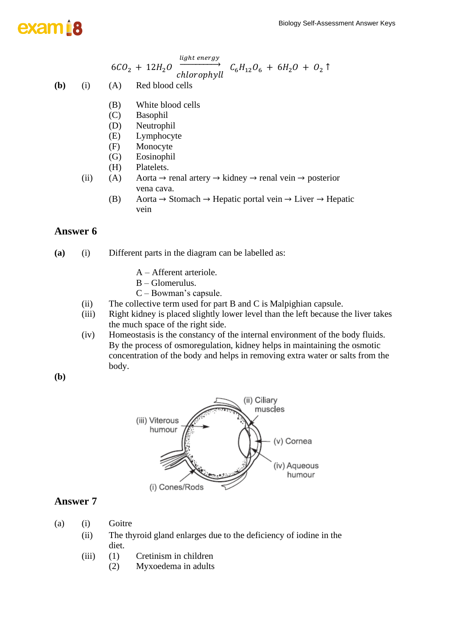# exam B

#### $6CO_2 + 12H_2O$ light energy chlorophyll  $C_6H_{12}O_6 + 6H_2O + O_2$  ↑

- **(b)** (i) (A) Red blood cells
	- (B) White blood cells
	- (C) Basophil
	- (D) Neutrophil
	- (E) Lymphocyte
	- (F) Monocyte
	- (G) Eosinophil
	- (H) Platelets.
	- (ii) (A) Aorta  $\rightarrow$  renal artery  $\rightarrow$  kidney  $\rightarrow$  renal vein  $\rightarrow$  posterior vena cava.
		- (B) Aorta  $\rightarrow$  Stomach  $\rightarrow$  Hepatic portal vein  $\rightarrow$  Liver  $\rightarrow$  Hepatic vein

### **Answer 6**

**(a)** (i) Different parts in the diagram can be labelled as:

- A Afferent arteriole.
- B Glomerulus.
- C Bowman's capsule.
- (ii) The collective term used for part B and C is Malpighian capsule.
- (iii) Right kidney is placed slightly lower level than the left because the liver takes the much space of the right side.
- (iv) Homeostasis is the constancy of the internal environment of the body fluids. By the process of osmoregulation, kidney helps in maintaining the osmotic concentration of the body and helps in removing extra water or salts from the body.

**(b)**



- (a) (i) Goitre
	- (ii) The thyroid gland enlarges due to the deficiency of iodine in the diet.
	- (iii) (1) Cretinism in children
		- (2) Myxoedema in adults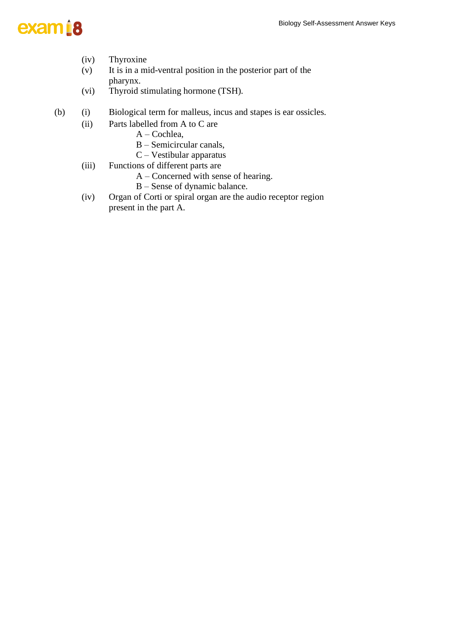

- (iv) Thyroxine
- (v) It is in a mid-ventral position in the posterior part of the pharynx.
- (vi) Thyroid stimulating hormone (TSH).
- (b) (i) Biological term for malleus, incus and stapes is ear ossicles.
	- (ii) Parts labelled from A to C are
		- A Cochlea,
		- B Semicircular canals,
		- C Vestibular apparatus
	- (iii) Functions of different parts are
		- A Concerned with sense of hearing.
		- B Sense of dynamic balance.
	- (iv) Organ of Corti or spiral organ are the audio receptor region present in the part A.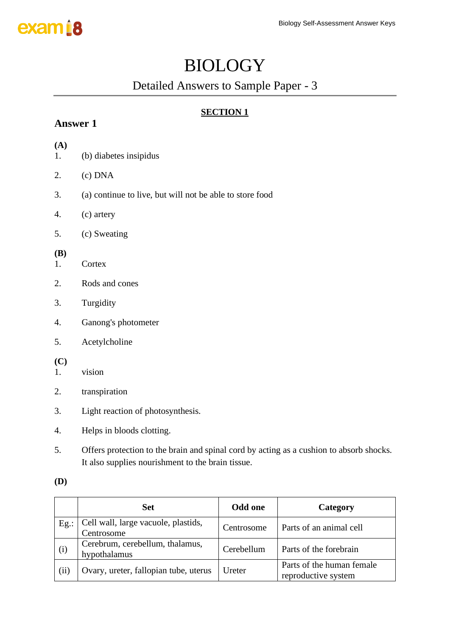## BIOLOGY

Detailed Answers to Sample Paper - 3

### **SECTION 1**

### **Answer 1**

#### **(A)** 1. (b) diabetes insipidus

- 
- 2. (c) DNA
- 3. (a) continue to live, but will not be able to store food
- 4. (c) artery
- 5. (c) Sweating

### **(B)**

- 1. Cortex
- 2. Rods and cones
- 3. Turgidity
- 4. Ganong's photometer
- 5. Acetylcholine

### **(C)**

- 1. vision
- 2. transpiration
- 3. Light reaction of photosynthesis.
- 4. Helps in bloods clotting.
- 5. Offers protection to the brain and spinal cord by acting as a cushion to absorb shocks. It also supplies nourishment to the brain tissue.

### **(D)**

|         | <b>Set</b>                                        | <b>Odd one</b> | <b>Category</b>                                  |
|---------|---------------------------------------------------|----------------|--------------------------------------------------|
| $Eg$ .: | Cell wall, large vacuole, plastids,<br>Centrosome | Centrosome     | Parts of an animal cell                          |
| (i)     | Cerebrum, cerebellum, thalamus,<br>hypothalamus   | Cerebellum     | Parts of the forebrain                           |
| (ii)    | Ovary, ureter, fallopian tube, uterus             | Ureter         | Parts of the human female<br>reproductive system |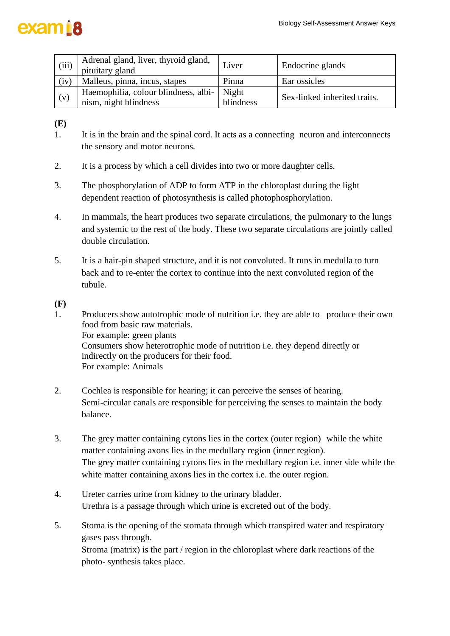## exam R

| (iii) | Adrenal gland, liver, thyroid gland,<br>pituitary gland | Liver     | Endocrine glands             |  |
|-------|---------------------------------------------------------|-----------|------------------------------|--|
| (iv)  | Malleus, pinna, incus, stapes                           | Pinna     | Ear ossicles                 |  |
| (v)   | Haemophilia, colour blindness, albi-                    | Night     | Sex-linked inherited traits. |  |
|       | nism, night blindness                                   | blindness |                              |  |

**(E)**

- 1. It is in the brain and the spinal cord. It acts as a connecting neuron and interconnects the sensory and motor neurons.
- 2. It is a process by which a cell divides into two or more daughter cells.
- 3. The phosphorylation of ADP to form ATP in the chloroplast during the light dependent reaction of photosynthesis is called photophosphorylation.
- 4. In mammals, the heart produces two separate circulations, the pulmonary to the lungs and systemic to the rest of the body. These two separate circulations are jointly called double circulation.
- 5. It is a hair-pin shaped structure, and it is not convoluted. It runs in medulla to turn back and to re-enter the cortex to continue into the next convoluted region of the tubule.

**(F)**

- 1. Producers show autotrophic mode of nutrition i.e. they are able to produce their own food from basic raw materials. For example: green plants Consumers show heterotrophic mode of nutrition i.e. they depend directly or indirectly on the producers for their food. For example: Animals
- 2. Cochlea is responsible for hearing; it can perceive the senses of hearing. Semi-circular canals are responsible for perceiving the senses to maintain the body balance.
- 3. The grey matter containing cytons lies in the cortex (outer region) while the white matter containing axons lies in the medullary region (inner region). The grey matter containing cytons lies in the medullary region i.e. inner side while the white matter containing axons lies in the cortex i.e. the outer region.
- 4. Ureter carries urine from kidney to the urinary bladder. Urethra is a passage through which urine is excreted out of the body.
- 5. Stoma is the opening of the stomata through which transpired water and respiratory gases pass through. Stroma (matrix) is the part / region in the chloroplast where dark reactions of the photo- synthesis takes place.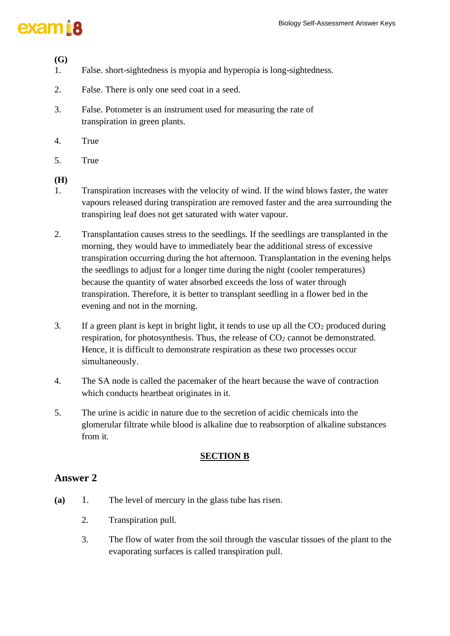# exam<sub>18</sub>

### **(G)**

- 1. False. short-sightedness is myopia and hyperopia is long-sightedness.
- 2. False. There is only one seed coat in a seed.
- 3. False. Potometer is an instrument used for measuring the rate of transpiration in green plants.
- 4. True
- 5. True

### **(H)**

- 1. Transpiration increases with the velocity of wind. If the wind blows faster, the water vapours released during transpiration are removed faster and the area surrounding the transpiring leaf does not get saturated with water vapour.
- 2. Transplantation causes stress to the seedlings. If the seedlings are transplanted in the morning, they would have to immediately bear the additional stress of excessive transpiration occurring during the hot afternoon. Transplantation in the evening helps the seedlings to adjust for a longer time during the night (cooler temperatures) because the quantity of water absorbed exceeds the loss of water through transpiration. Therefore, it is better to transplant seedling in a flower bed in the evening and not in the morning.
- 3. If a green plant is kept in bright light, it tends to use up all the  $CO<sub>2</sub>$  produced during respiration, for photosynthesis. Thus, the release of  $CO<sub>2</sub>$  cannot be demonstrated. Hence, it is difficult to demonstrate respiration as these two processes occur simultaneously.
- 4. The SA node is called the pacemaker of the heart because the wave of contraction which conducts heartbeat originates in it.
- 5. The urine is acidic in nature due to the secretion of acidic chemicals into the glomerular filtrate while blood is alkaline due to reabsorption of alkaline substances from it.

### **SECTION B**

- **(a)** 1. The level of mercury in the glass tube has risen.
	- 2. Transpiration pull.
	- 3. The flow of water from the soil through the vascular tissues of the plant to the evaporating surfaces is called transpiration pull.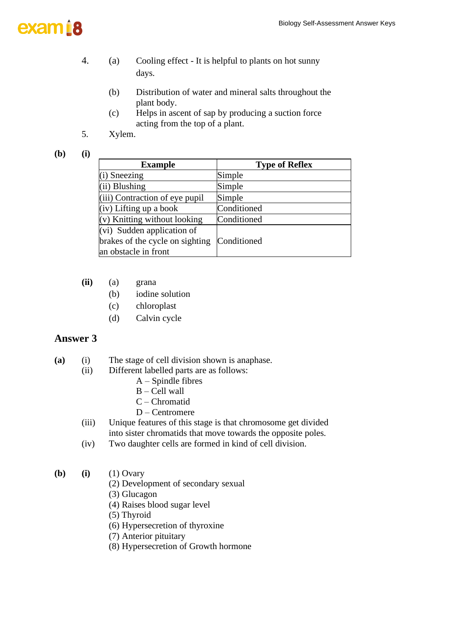

### 4. (a) Cooling effect - It is helpful to plants on hot sunny days.

- (b) Distribution of water and mineral salts throughout the plant body.
- (c) Helps in ascent of sap by producing a suction force acting from the top of a plant.
- 5. Xylem.

### **(b) (i)**

| <b>Example</b>                  | <b>Type of Reflex</b> |
|---------------------------------|-----------------------|
| $(i)$ Sneezing                  | Simple                |
| $(ii)$ Blushing                 | Simple                |
| (iii) Contraction of eye pupil  | Simple                |
| $(iv)$ Lifting up a book        | Conditioned           |
| $(v)$ Knitting without looking  | Conditioned           |
| $(vi)$ Sudden application of    |                       |
| brakes of the cycle on sighting | Conditioned           |
| an obstacle in front            |                       |

- **(ii)** (a) grana
	- (b) iodine solution
	- (c) chloroplast
	- (d) Calvin cycle

### **Answer 3**

### **(a)** (i) The stage of cell division shown is anaphase.

- (ii) Different labelled parts are as follows:
	- $A -$ Spindle fibres
	- B Cell wall
	- C Chromatid
	- D Centromere
	- (iii) Unique features of this stage is that chromosome get divided into sister chromatids that move towards the opposite poles.
	- (iv) Two daughter cells are formed in kind of cell division.
- **(b) (i)** (1) Ovary
	- (2) Development of secondary sexual
	- (3) Glucagon
	- (4) Raises blood sugar level
	- (5) Thyroid
	- (6) Hypersecretion of thyroxine
	- (7) Anterior pituitary
	- (8) Hypersecretion of Growth hormone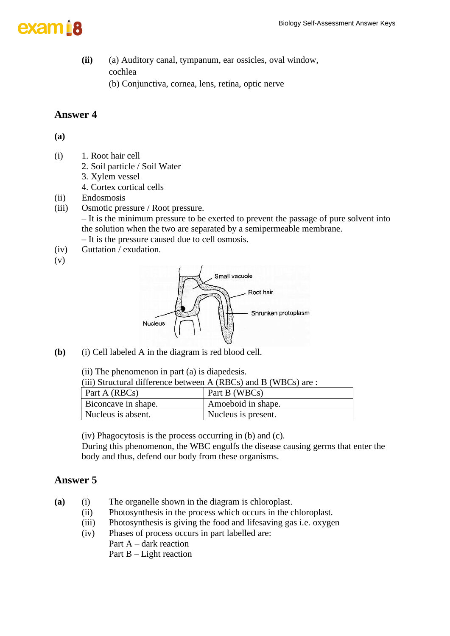

- **(ii)** (a) Auditory canal, tympanum, ear ossicles, oval window, cochlea
	- (b) Conjunctiva, cornea, lens, retina, optic nerve

### **Answer 4**

**(a)**

- (i) 1. Root hair cell
	- 2. Soil particle / Soil Water
	- 3. Xylem vessel
	- 4. Cortex cortical cells
- (ii) Endosmosis
- (iii) Osmotic pressure / Root pressure.

– It is the minimum pressure to be exerted to prevent the passage of pure solvent into the solution when the two are separated by a semipermeable membrane.

- It is the pressure caused due to cell osmosis.
- (iv) Guttation / exudation.
- (v)



**(b)** (i) Cell labeled A in the diagram is red blood cell.

(ii) The phenomenon in part (a) is diapedesis.

| Part A (RBCs)       | Part B (WBCs)       |
|---------------------|---------------------|
| Biconcave in shape. | Amoeboid in shape.  |
| Nucleus is absent.  | Nucleus is present. |

(iv) Phagocytosis is the process occurring in (b) and (c).

During this phenomenon, the WBC engulfs the disease causing germs that enter the body and thus, defend our body from these organisms.

- **(a)** (i) The organelle shown in the diagram is chloroplast.
	- (ii) Photosynthesis in the process which occurs in the chloroplast.
	- (iii) Photosynthesis is giving the food and lifesaving gas i.e. oxygen
	- (iv) Phases of process occurs in part labelled are:
		- Part A dark reaction
			- Part B Light reaction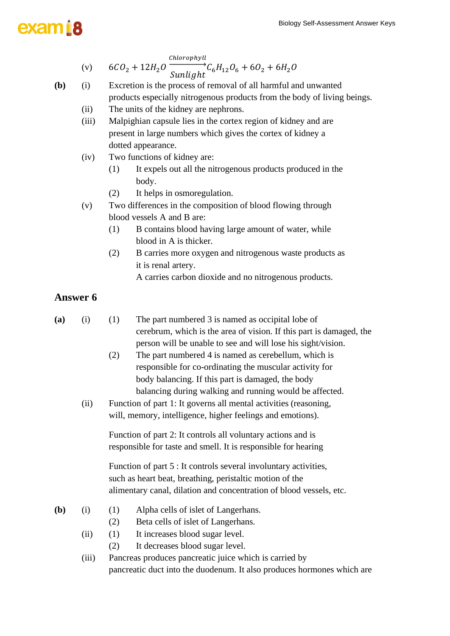# exam B

$$
\text{(v)} \qquad 6CO_2 + 12H_2O \xrightarrow{\text{Chlorophyll}} C_6H_{12}O_6 + 6O_2 + 6H_2O
$$

- **(b)** (i) Excretion is the process of removal of all harmful and unwanted products especially nitrogenous products from the body of living beings.
	- (ii) The units of the kidney are nephrons.
	- (iii) Malpighian capsule lies in the cortex region of kidney and are present in large numbers which gives the cortex of kidney a dotted appearance.
	- (iv) Two functions of kidney are:
		- (1) It expels out all the nitrogenous products produced in the body.
		- (2) It helps in osmoregulation.
	- (v) Two differences in the composition of blood flowing through blood vessels A and B are:
		- (1) B contains blood having large amount of water, while blood in A is thicker.
		- (2) B carries more oxygen and nitrogenous waste products as it is renal artery.
			- A carries carbon dioxide and no nitrogenous products.

### **Answer 6**

**(a)** (i) (1) The part numbered 3 is named as occipital lobe of cerebrum, which is the area of vision. If this part is damaged, the person will be unable to see and will lose his sight/vision.

- (2) The part numbered 4 is named as cerebellum, which is responsible for co-ordinating the muscular activity for body balancing. If this part is damaged, the body balancing during walking and running would be affected.
- (ii) Function of part 1: It governs all mental activities (reasoning, will, memory, intelligence, higher feelings and emotions).

Function of part 2: It controls all voluntary actions and is responsible for taste and smell. It is responsible for hearing

Function of part 5 : It controls several involuntary activities, such as heart beat, breathing, peristaltic motion of the alimentary canal, dilation and concentration of blood vessels, etc.

- **(b)** (i) (1) Alpha cells of islet of Langerhans.
	- (2) Beta cells of islet of Langerhans.
	- (ii) (1) It increases blood sugar level.
		- (2) It decreases blood sugar level.
	- (iii) Pancreas produces pancreatic juice which is carried by pancreatic duct into the duodenum. It also produces hormones which are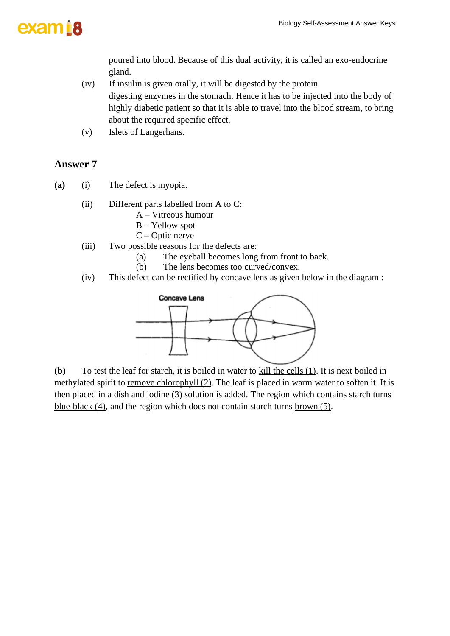

poured into blood. Because of this dual activity, it is called an exo-endocrine gland.

- (iv) If insulin is given orally, it will be digested by the protein digesting enzymes in the stomach. Hence it has to be injected into the body of highly diabetic patient so that it is able to travel into the blood stream, to bring about the required specific effect.
- (v) Islets of Langerhans.

### **Answer 7**

- **(a)** (i) The defect is myopia.
	- (ii) Different parts labelled from A to C:
		- A Vitreous humour
		- B Yellow spot
		- C Optic nerve
	- (iii) Two possible reasons for the defects are:
		- (a) The eyeball becomes long from front to back.
		- (b) The lens becomes too curved/convex.
	- (iv) This defect can be rectified by concave lens as given below in the diagram :



**(b)** To test the leaf for starch, it is boiled in water to <u>kill the cells (1)</u>. It is next boiled in methylated spirit to remove chlorophyll (2). The leaf is placed in warm water to soften it. It is then placed in a dish and iodine (3) solution is added. The region which contains starch turns blue-black (4), and the region which does not contain starch turns brown (5).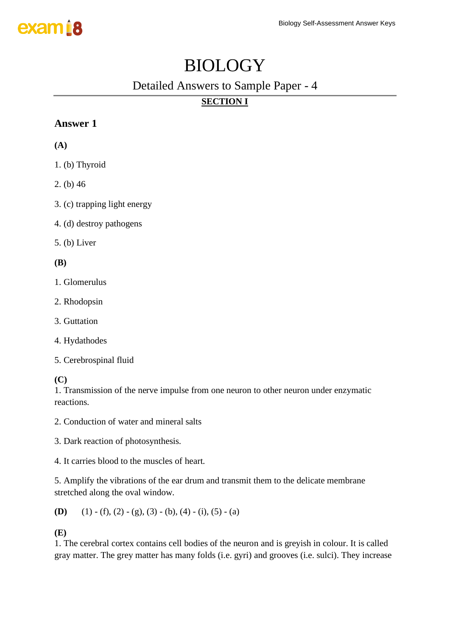## BIOLOGY

## Detailed Answers to Sample Paper - 4

## **SECTION I**

### **Answer 1**

### **(A)**

- 1. (b) Thyroid
- 2. (b) 46
- 3. (c) trapping light energy
- 4. (d) destroy pathogens
- 5. (b) Liver

### **(B)**

- 1. Glomerulus
- 2. Rhodopsin
- 3. Guttation
- 4. Hydathodes
- 5. Cerebrospinal fluid

### **(C)**

1. Transmission of the nerve impulse from one neuron to other neuron under enzymatic reactions.

- 2. Conduction of water and mineral salts
- 3. Dark reaction of photosynthesis.
- 4. It carries blood to the muscles of heart.

5. Amplify the vibrations of the ear drum and transmit them to the delicate membrane stretched along the oval window.

**(D)** (1) - (f), (2) - (g), (3) - (b), (4) - (i), (5) - (a)

### **(E)**

1. The cerebral cortex contains cell bodies of the neuron and is greyish in colour. It is called gray matter. The grey matter has many folds (i.e. gyri) and grooves (i.e. sulci). They increase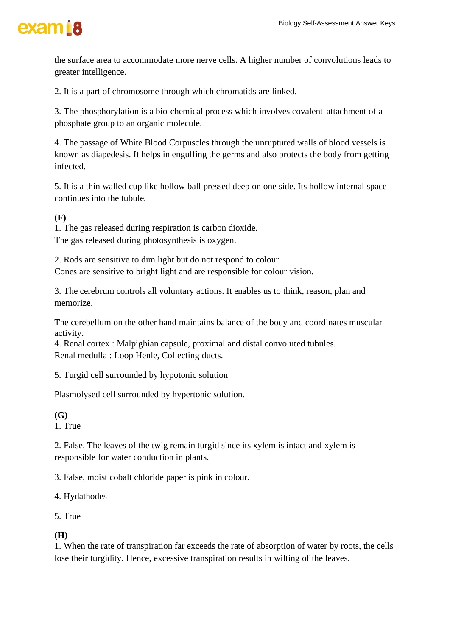

the surface area to accommodate more nerve cells. A higher number of convolutions leads to greater intelligence.

2. It is a part of chromosome through which chromatids are linked.

3. The phosphorylation is a bio-chemical process which involves covalent attachment of a phosphate group to an organic molecule.

4. The passage of White Blood Corpuscles through the unruptured walls of blood vessels is known as diapedesis. It helps in engulfing the germs and also protects the body from getting infected.

5. It is a thin walled cup like hollow ball pressed deep on one side. Its hollow internal space continues into the tubule.

**(F)**

1. The gas released during respiration is carbon dioxide. The gas released during photosynthesis is oxygen.

2. Rods are sensitive to dim light but do not respond to colour. Cones are sensitive to bright light and are responsible for colour vision.

3. The cerebrum controls all voluntary actions. It enables us to think, reason, plan and memorize.

The cerebellum on the other hand maintains balance of the body and coordinates muscular activity.

4. Renal cortex : Malpighian capsule, proximal and distal convoluted tubules. Renal medulla : Loop Henle, Collecting ducts.

5. Turgid cell surrounded by hypotonic solution

Plasmolysed cell surrounded by hypertonic solution.

### **(G)**

1. True

2. False. The leaves of the twig remain turgid since its xylem is intact and xylem is responsible for water conduction in plants.

3. False, moist cobalt chloride paper is pink in colour.

4. Hydathodes

5. True

### **(H)**

1. When the rate of transpiration far exceeds the rate of absorption of water by roots, the cells lose their turgidity. Hence, excessive transpiration results in wilting of the leaves.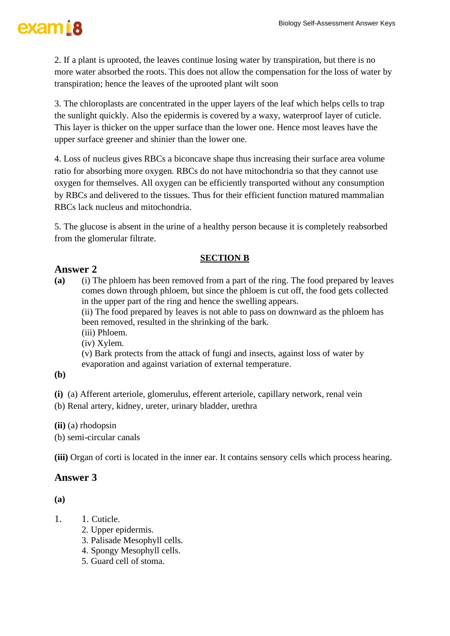# exam is

2. If a plant is uprooted, the leaves continue losing water by transpiration, but there is no more water absorbed the roots. This does not allow the compensation for the loss of water by transpiration; hence the leaves of the uprooted plant wilt soon

3. The chloroplasts are concentrated in the upper layers of the leaf which helps cells to trap the sunlight quickly. Also the epidermis is covered by a waxy, waterproof layer of cuticle. This layer is thicker on the upper surface than the lower one. Hence most leaves have the upper surface greener and shinier than the lower one.

4. Loss of nucleus gives RBCs a biconcave shape thus increasing their surface area volume ratio for absorbing more oxygen. RBCs do not have mitochondria so that they cannot use oxygen for themselves. All oxygen can be efficiently transported without any consumption by RBCs and delivered to the tissues. Thus for their efficient function matured mammalian RBCs lack nucleus and mitochondria.

5. The glucose is absent in the urine of a healthy person because it is completely reabsorbed from the glomerular filtrate.

### **SECTION B**

### **Answer 2**

**(a)** (i) The phloem has been removed from a part of the ring. The food prepared by leaves comes down through phloem, but since the phloem is cut off, the food gets collected in the upper part of the ring and hence the swelling appears.

(ii) The food prepared by leaves is not able to pass on downward as the phloem has been removed, resulted in the shrinking of the bark.

(iii) Phloem.

(iv) Xylem.

(v) Bark protects from the attack of fungi and insects, against loss of water by evaporation and against variation of external temperature.

### **(b)**

**(i)** (a) Afferent arteriole, glomerulus, efferent arteriole, capillary network, renal vein

(b) Renal artery, kidney, ureter, urinary bladder, urethra

**(ii)** (a) rhodopsin

(b) semi-circular canals

**(iii)** Organ of corti is located in the inner ear. It contains sensory cells which process hearing.

### **Answer 3**

**(a)**

- 1. 1. Cuticle.
	- 2. Upper epidermis.
	- 3. Palisade Mesophyll cells.
	- 4. Spongy Mesophyll cells.
	- 5. Guard cell of stoma.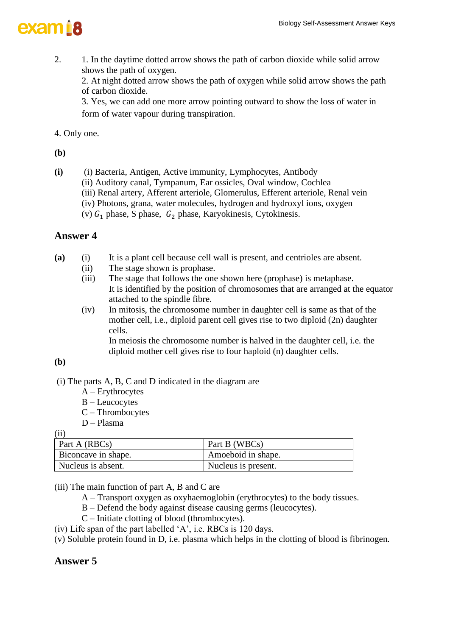

2. 1. In the daytime dotted arrow shows the path of carbon dioxide while solid arrow shows the path of oxygen.

2. At night dotted arrow shows the path of oxygen while solid arrow shows the path of carbon dioxide.

3. Yes, we can add one more arrow pointing outward to show the loss of water in form of water vapour during transpiration.

4. Only one.

**(b)**

- **(i)** (i) Bacteria, Antigen, Active immunity, Lymphocytes, Antibody
	- (ii) Auditory canal, Tympanum, Ear ossicles, Oval window, Cochlea
	- (iii) Renal artery, Afferent arteriole, Glomerulus, Efferent arteriole, Renal vein
	- (iv) Photons, grana, water molecules, hydrogen and hydroxyl ions, oxygen
	- (v)  $G_1$  phase, S phase,  $G_2$  phase, Karyokinesis, Cytokinesis.

#### **Answer 4**

- **(a)** (i) It is a plant cell because cell wall is present, and centrioles are absent.
	- (ii) The stage shown is prophase.
	- (iii) The stage that follows the one shown here (prophase) is metaphase. It is identified by the position of chromosomes that are arranged at the equator attached to the spindle fibre.
	- (iv) In mitosis, the chromosome number in daughter cell is same as that of the mother cell, i.e., diploid parent cell gives rise to two diploid (2n) daughter cells.

In meiosis the chromosome number is halved in the daughter cell, i.e. the diploid mother cell gives rise to four haploid (n) daughter cells.

### **(b)**

- (i) The parts A, B, C and D indicated in the diagram are
	- A Erythrocytes
	- B Leucocytes
	- C Thrombocytes
	- D Plasma

(ii)

| Part A (RBCs)       | Part B (WBCs)       |
|---------------------|---------------------|
| Biconcave in shape. | Amoeboid in shape.  |
| Nucleus is absent.  | Nucleus is present. |

(iii) The main function of part A, B and C are

- A Transport oxygen as oxyhaemoglobin (erythrocytes) to the body tissues.
- B Defend the body against disease causing germs (leucocytes).
- C Initiate clotting of blood (thrombocytes).
- (iv) Life span of the part labelled 'A', i.e. RBCs is 120 days.
- (v) Soluble protein found in D, i.e. plasma which helps in the clotting of blood is fibrinogen.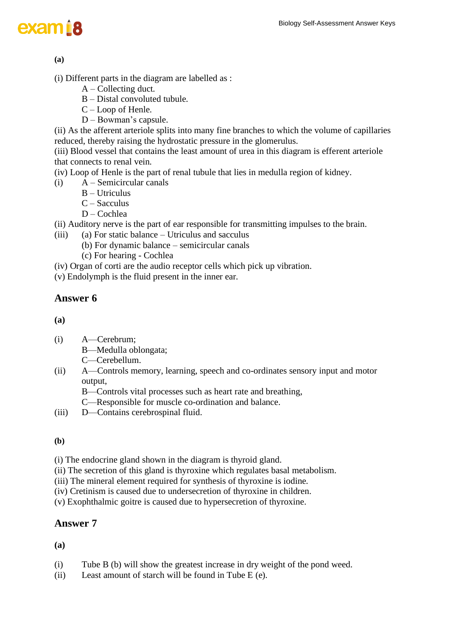# exam is

**(a)**

(i) Different parts in the diagram are labelled as :

- A Collecting duct.
- B Distal convoluted tubule.
- C Loop of Henle.
- D Bowman's capsule.

(ii) As the afferent arteriole splits into many fine branches to which the volume of capillaries reduced, thereby raising the hydrostatic pressure in the glomerulus.

(iii) Blood vessel that contains the least amount of urea in this diagram is efferent arteriole that connects to renal vein.

- (iv) Loop of Henle is the part of renal tubule that lies in medulla region of kidney.
- (i) A Semicircular canals
	- B Utriculus
	- C Sacculus
	- D Cochlea

(ii) Auditory nerve is the part of ear responsible for transmitting impulses to the brain.

- (iii) (a) For static balance Utriculus and sacculus
	- (b) For dynamic balance semicircular canals
	- (c) For hearing Cochlea
- (iv) Organ of corti are the audio receptor cells which pick up vibration.

(v) Endolymph is the fluid present in the inner ear.

### **Answer 6**

**(a)**

- (i) A—Cerebrum;
	- B—Medulla oblongata;
	- C—Cerebellum.
- (ii) A—Controls memory, learning, speech and co-ordinates sensory input and motor output,
	- B—Controls vital processes such as heart rate and breathing,
	- C—Responsible for muscle co-ordination and balance.
- (iii) D—Contains cerebrospinal fluid.

#### **(b)**

(i) The endocrine gland shown in the diagram is thyroid gland.

- (ii) The secretion of this gland is thyroxine which regulates basal metabolism.
- (iii) The mineral element required for synthesis of thyroxine is iodine.

(iv) Cretinism is caused due to undersecretion of thyroxine in children.

(v) Exophthalmic goitre is caused due to hypersecretion of thyroxine.

### **Answer 7**

**(a)**

- (i) Tube B (b) will show the greatest increase in dry weight of the pond weed.
- (ii) Least amount of starch will be found in Tube E (e).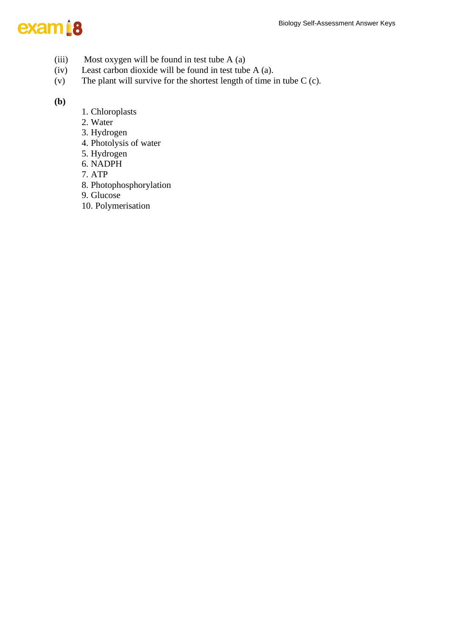

- (iii) Most oxygen will be found in test tube A (a)
- (iv) Least carbon dioxide will be found in test tube A (a).
- (v) The plant will survive for the shortest length of time in tube  $C$  (c).

**(b)**

- 1. Chloroplasts
- 2. Water
- 3. Hydrogen
- 4. Photolysis of water
- 5. Hydrogen
- 6. NADPH
- 7. ATP
- 8. Photophosphorylation
- 9. Glucose
- 10. Polymerisation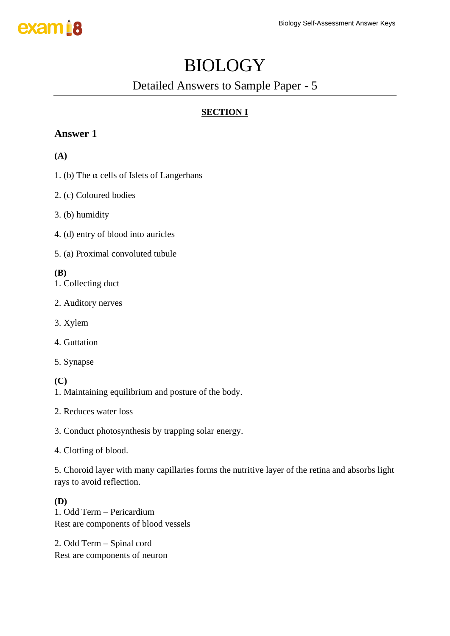## BIOLOGY

## Detailed Answers to Sample Paper - 5

## **SECTION I**

### **Answer 1**

### **(A)**

- 1. (b) The α cells of Islets of Langerhans
- 2. (c) Coloured bodies
- 3. (b) humidity
- 4. (d) entry of blood into auricles
- 5. (a) Proximal convoluted tubule

### **(B)**

- 1. Collecting duct
- 2. Auditory nerves
- 3. Xylem
- 4. Guttation
- 5. Synapse

**(C)**

- 1. Maintaining equilibrium and posture of the body.
- 2. Reduces water loss
- 3. Conduct photosynthesis by trapping solar energy.
- 4. Clotting of blood.

5. Choroid layer with many capillaries forms the nutritive layer of the retina and absorbs light rays to avoid reflection.

**(D)**

1. Odd Term – Pericardium Rest are components of blood vessels

2. Odd Term – Spinal cord Rest are components of neuron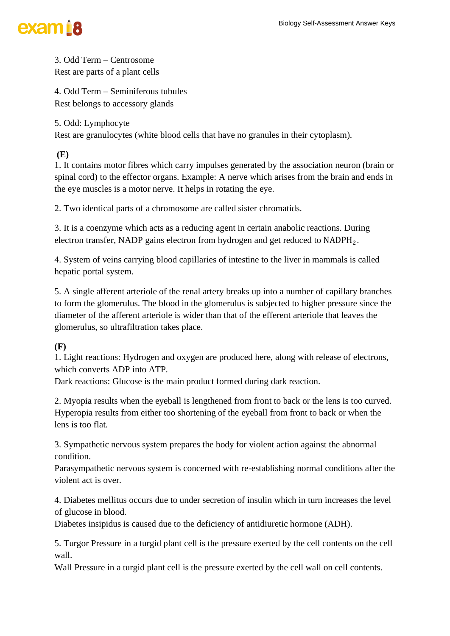

3. Odd Term – Centrosome Rest are parts of a plant cells

4. Odd Term – Seminiferous tubules Rest belongs to accessory glands

#### 5. Odd: Lymphocyte

Rest are granulocytes (white blood cells that have no granules in their cytoplasm).

**(E)**

1. It contains motor fibres which carry impulses generated by the association neuron (brain or spinal cord) to the effector organs. Example: A nerve which arises from the brain and ends in the eye muscles is a motor nerve. It helps in rotating the eye.

2. Two identical parts of a chromosome are called sister chromatids.

3. It is a coenzyme which acts as a reducing agent in certain anabolic reactions. During electron transfer, NADP gains electron from hydrogen and get reduced to NADPH<sub>2</sub>.

4. System of veins carrying blood capillaries of intestine to the liver in mammals is called hepatic portal system.

5. A single afferent arteriole of the renal artery breaks up into a number of capillary branches to form the glomerulus. The blood in the glomerulus is subjected to higher pressure since the diameter of the afferent arteriole is wider than that of the efferent arteriole that leaves the glomerulus, so ultrafiltration takes place.

**(F)**

1. Light reactions: Hydrogen and oxygen are produced here, along with release of electrons, which converts ADP into ATP.

Dark reactions: Glucose is the main product formed during dark reaction.

2. Myopia results when the eyeball is lengthened from front to back or the lens is too curved. Hyperopia results from either too shortening of the eyeball from front to back or when the lens is too flat.

3. Sympathetic nervous system prepares the body for violent action against the abnormal condition.

Parasympathetic nervous system is concerned with re-establishing normal conditions after the violent act is over.

4. Diabetes mellitus occurs due to under secretion of insulin which in turn increases the level of glucose in blood.

Diabetes insipidus is caused due to the deficiency of antidiuretic hormone (ADH).

5. Turgor Pressure in a turgid plant cell is the pressure exerted by the cell contents on the cell wall.

Wall Pressure in a turgid plant cell is the pressure exerted by the cell wall on cell contents.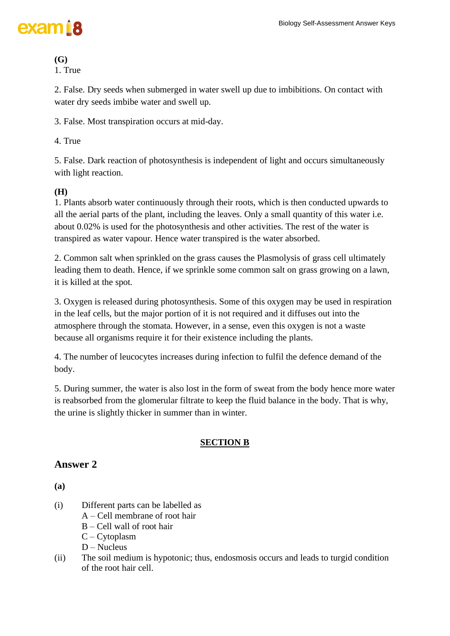

### **(G)**

1. True

2. False. Dry seeds when submerged in water swell up due to imbibitions. On contact with water dry seeds imbibe water and swell up.

3. False. Most transpiration occurs at mid-day.

4. True

5. False. Dark reaction of photosynthesis is independent of light and occurs simultaneously with light reaction.

### **(H)**

1. Plants absorb water continuously through their roots, which is then conducted upwards to all the aerial parts of the plant, including the leaves. Only a small quantity of this water i.e. about 0.02% is used for the photosynthesis and other activities. The rest of the water is transpired as water vapour. Hence water transpired is the water absorbed.

2. Common salt when sprinkled on the grass causes the Plasmolysis of grass cell ultimately leading them to death. Hence, if we sprinkle some common salt on grass growing on a lawn, it is killed at the spot.

3. Oxygen is released during photosynthesis. Some of this oxygen may be used in respiration in the leaf cells, but the major portion of it is not required and it diffuses out into the atmosphere through the stomata. However, in a sense, even this oxygen is not a waste because all organisms require it for their existence including the plants.

4. The number of leucocytes increases during infection to fulfil the defence demand of the body.

5. During summer, the water is also lost in the form of sweat from the body hence more water is reabsorbed from the glomerular filtrate to keep the fluid balance in the body. That is why, the urine is slightly thicker in summer than in winter.

### **SECTION B**

### **Answer 2**

**(a)**

- (i) Different parts can be labelled as
	- A Cell membrane of root hair
	- B Cell wall of root hair
	- C Cytoplasm
	- D Nucleus
- (ii) The soil medium is hypotonic; thus, endosmosis occurs and leads to turgid condition of the root hair cell.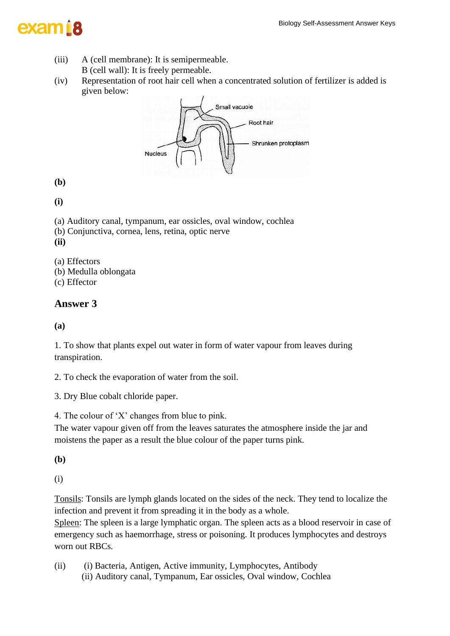

(iii) A (cell membrane): It is semipermeable.

B (cell wall): It is freely permeable.

(iv) Representation of root hair cell when a concentrated solution of fertilizer is added is given below:



**(b)**

**(i)** 

- (a) Auditory canal, tympanum, ear ossicles, oval window, cochlea
- (b) Conjunctiva, cornea, lens, retina, optic nerve

**(ii)**

- (a) Effectors
- (b) Medulla oblongata
- (c) Effector

### **Answer 3**

**(a)**

1. To show that plants expel out water in form of water vapour from leaves during transpiration.

2. To check the evaporation of water from the soil.

3. Dry Blue cobalt chloride paper.

4. The colour of 'X' changes from blue to pink.

The water vapour given off from the leaves saturates the atmosphere inside the jar and moistens the paper as a result the blue colour of the paper turns pink.

**(b)**

(i)

Tonsils: Tonsils are lymph glands located on the sides of the neck. They tend to localize the infection and prevent it from spreading it in the body as a whole.

Spleen: The spleen is a large lymphatic organ. The spleen acts as a blood reservoir in case of emergency such as haemorrhage, stress or poisoning. It produces lymphocytes and destroys worn out RBCs.

(ii) (i) Bacteria, Antigen, Active immunity, Lymphocytes, Antibody (ii) Auditory canal, Tympanum, Ear ossicles, Oval window, Cochlea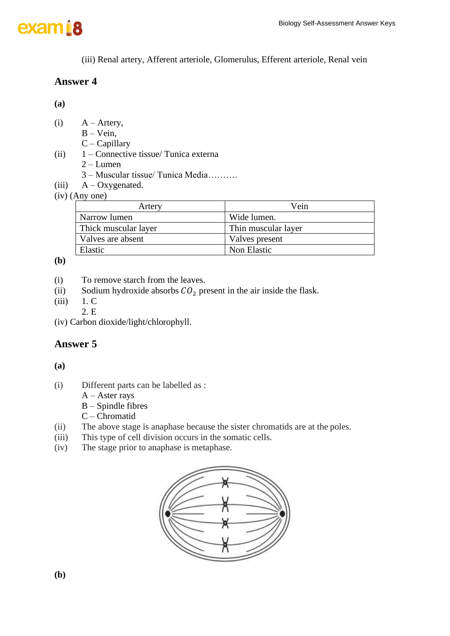

(iii) Renal artery, Afferent arteriole, Glomerulus, Efferent arteriole, Renal vein

### **Answer 4**

**(a)**

- $(i)$  A Artery,
	- $B V$ ein,
	- C Capillary
- (ii) 1 Connective tissue/ Tunica externa
	- 2 Lumen
	- 3 Muscular tissue/ Tunica Media……….
- (iii)  $A Oxy$  genated.

### (iv) (Any one)

| Artery               | Vein                |
|----------------------|---------------------|
| Narrow lumen         | Wide lumen.         |
| Thick muscular layer | Thin muscular layer |
| Valves are absent    | Valves present      |
| Elastic              | Non Elastic         |

**(b)**

- (i) To remove starch from the leaves.
- (ii) Sodium hydroxide absorbs  $CO_2$  present in the air inside the flask.<br>(iii) 1. C
- $1. C$ 
	- 2. E
- (iv) Carbon dioxide/light/chlorophyll.

### **Answer 5**

**(a)**

- (i) Different parts can be labelled as :
	- A Aster rays
	- B Spindle fibres
	- C Chromatid
- (ii) The above stage is anaphase because the sister chromatids are at the poles.
- (iii) This type of cell division occurs in the somatic cells.
- (iv) The stage prior to anaphase is metaphase.